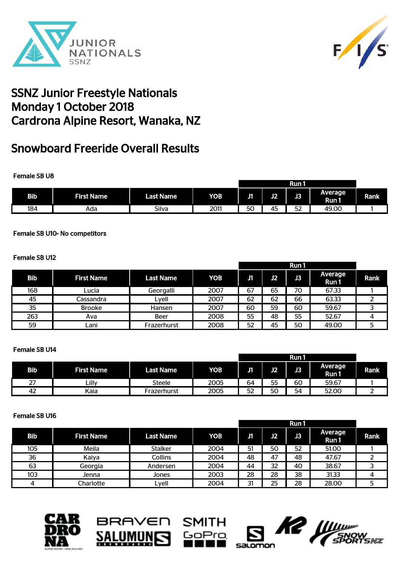



# Snowboard Freeride Overall Results

### Female SB U8

|            |                   |                  |            |            |    | Run 1          |                  |      |
|------------|-------------------|------------------|------------|------------|----|----------------|------------------|------|
| <b>Bib</b> | <b>First Name</b> | <b>Last Name</b> | <b>YOB</b> | . .<br>- 1 | J2 | œ<br>œ         | Average<br>Run 1 | Rank |
| 184        | Ada               | Silva            | 2011       | 50         | 45 | $-$<br>ь.<br>◡ | 49.00            |      |

### Female SB U10- No competitors

### Female SB U12

|            |                   |                  |            | Run 1 |    |                |                 |      |
|------------|-------------------|------------------|------------|-------|----|----------------|-----------------|------|
| <b>Bib</b> | <b>First Name</b> | <b>Last Name</b> | <b>YOB</b> | J1    | J2 | J <sub>3</sub> | Average<br>Run1 | Rank |
| 168        | Lucia             | Georgalli        | 2007       | 67    | 65 | 70             | 67.33           |      |
| 45         | Cassandra         | Lyell            | 2007       | 62    | 62 | 66             | 63.33           |      |
| 35         | <b>Brooke</b>     | Hansen           | 2007       | 60    | 59 | 60             | 59.67           |      |
| 263        | Ava               | Beer             | 2008       | 55    | 48 | 55             | 52.67           |      |
| 59         | .ani              | Frazerhurst      | 2008       | 52    | 45 | 50             | 49.00           | 5    |

### Female SB U14

|           |                   |                  |            | Run 1 |    |    |                 |             |
|-----------|-------------------|------------------|------------|-------|----|----|-----------------|-------------|
| Bib       | <b>First Name</b> | <b>Last Name</b> | <b>YOB</b> | J1    | J2 | J3 | Average<br>Run1 | <b>Rank</b> |
| דר<br>، ے | ااآ۔              | Steele           | 2005       | 64    | 55 | 60 | 59.67           |             |
| 42        | Kaia              | Frazerhurst      | 2005       | 52    | 50 | 54 | 52.00           |             |

#### Female SB U16

|     |                   |                  |            |    |    | Run1 |                  |      |
|-----|-------------------|------------------|------------|----|----|------|------------------|------|
| Bib | <b>First Name</b> | <b>Last Name</b> | <b>YOB</b> | J1 | J2 | JЗ   | Average<br>Run 1 | Rank |
| 105 | Meila             | <b>Stalker</b>   | 2004       | 51 | 50 | 52   | 51.00            |      |
| 36  | Kaiya             | Collins          | 2004       | 48 | 47 | 48   | 47.67            |      |
| 63  | Georgia           | Andersen         | 2004       | 44 | 32 | 40   | 38.67            |      |
| 103 | Jenna             | Jones            | 2003       | 28 | 28 | 38   | 31.33            |      |
|     | Charlotte         | Lyell            | 2004       | 31 | 25 | 28   | 28.00            |      |







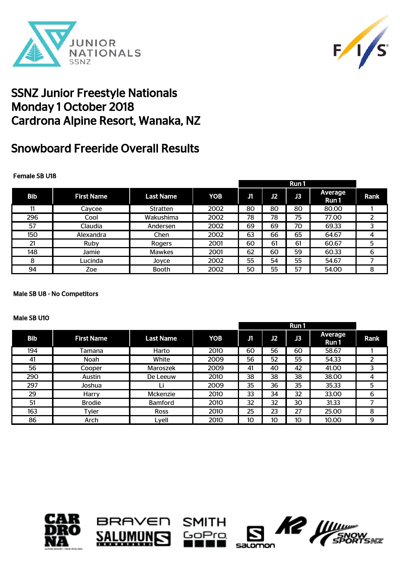



# Snowboard Freeride Overall Results

### Female SB U18

|            |                   |                  |      |    |    | Run 1 |                  |             |
|------------|-------------------|------------------|------|----|----|-------|------------------|-------------|
| <b>Bib</b> | <b>First Name</b> | <b>Last Name</b> | YOB  | Л  | J2 | J3    | Average<br>Run 1 | <b>Rank</b> |
| 11         | Caycee            | <b>Stratten</b>  | 2002 | 80 | 80 | 80    | 80.00            |             |
| 296        | Cool              | Wakushima        | 2002 | 78 | 78 | 75    | 77.00            | 2           |
| 57         | Claudia           | Andersen         | 2002 | 69 | 69 | 70    | 69.33            | 3           |
| 150        | Alexandra         | Chen             | 2002 | 63 | 66 | 65    | 64.67            | 4           |
| 21         | Ruby              | Rogers           | 2001 | 60 | 61 | 61    | 60.67            | 5           |
| 148        | Jamie             | <b>Mawkes</b>    | 2001 | 62 | 60 | 59    | 60.33            | 6           |
| 8          | Lucinda           | Joyce            | 2002 | 55 | 54 | 55    | 54.67            |             |
| 94         | Zoe               | <b>Booth</b>     | 2002 | 50 | 55 | 57    | 54.00            | 8           |

#### Male SB U8 - No Competitors

#### Male SB U10

|            |                   |                  |            |    |                 | Run 1 |                  |      |
|------------|-------------------|------------------|------------|----|-----------------|-------|------------------|------|
| <b>Bib</b> | <b>First Name</b> | <b>Last Name</b> | <b>YOB</b> | J1 | J2              | J3    | Average<br>Run 1 | Rank |
| 194        | Tamana            | Harto            | 2010       | 60 | 56              | 60    | 58.67            |      |
| 41         | Noah              | White            | 2009       | 56 | 52              | 55    | 54.33            |      |
| 56         | Cooper            | Maroszek         | 2009       | 41 | 40              | 42    | 41.00            |      |
| 290        | Austin            | De Leeuw         | 2010       | 38 | 38              | 38    | 38.00            | 4    |
| 297        | Joshua            |                  | 2009       | 35 | 36              | 35    | 35.33            | 5    |
| 29         | Harry             | Mckenzie         | 2010       | 33 | 34              | 32    | 33.00            | 6    |
| 51         | <b>Brodie</b>     | <b>Bamford</b>   | 2010       | 32 | 32              | 30    | 31.33            |      |
| 163        | Tyler             | <b>Ross</b>      | 2010       | 25 | 23              | 27    | 25.00            | 8    |
| 86         | Arch              | Lyell            | 2010       | 10 | 10 <sup>°</sup> | 10    | 10.00            | 9    |







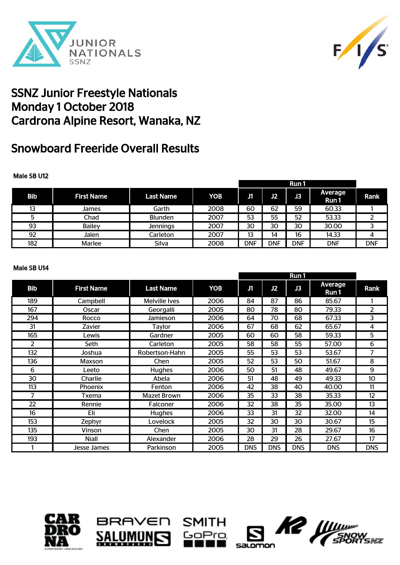



# Snowboard Freeride Overall Results

### Male SB U12

|     |                   |                  |      |            |            | Run 1      |                  |            |
|-----|-------------------|------------------|------|------------|------------|------------|------------------|------------|
| Bib | <b>First Name</b> | <b>Last Name</b> | YOB  | J1         | J2         | JЗ         | Average<br>Run 1 | Rank       |
| 13  | James             | Garth            | 2008 | 60         | 62         | 59         | 60.33            |            |
|     | Chad              | <b>Blunden</b>   | 2007 | 53         | 55         | 52         | 53.33            |            |
| 93  | <b>Bailey</b>     | <b>Jennings</b>  | 2007 | 30         | 30         | 30         | 30.00            |            |
| 92  | Jalen             | Carleton         | 2007 | 13         | 14         | 16         | 14.33            |            |
| 182 | Marlee            | Silva            | 2008 | <b>DNF</b> | <b>DNF</b> | <b>DNF</b> | <b>DNF</b>       | <b>DNF</b> |

#### Male SB U14

|            |                   |                  |            | Run 1      |            |            |                  |            |
|------------|-------------------|------------------|------------|------------|------------|------------|------------------|------------|
| <b>Bib</b> | <b>First Name</b> | <b>Last Name</b> | <b>YOB</b> | J1         | J2         | J3         | Average<br>Run 1 | Rank       |
| 189        | Campbell          | Melville Ives    | 2006       | 84         | 87         | 86         | 85.67            |            |
| 167        | Oscar             | Georgalli        | 2005       | 80         | 78         | 80         | 79.33            | 2          |
| 294        | Rocco             | Jamieson         | 2006       | 64         | 70         | 68         | 67.33            | 3          |
| 31         | Zavier            | Taylor           | 2006       | 67         | 68         | 62         | 65.67            | 4          |
| 165        | Lewis             | Gardner          | 2005       | 60         | 60         | 58         | 59.33            | 5          |
| 2          | Seth              | Carleton         | 2005       | 58         | 58         | 55         | 57.00            | 6          |
| 132        | Joshua            | Robertson-Hahn   | 2005       | 55         | 53         | 53         | 53.67            | 7          |
| 136        | Maxson            | Chen             | 2005       | 52         | 53         | 50         | 51.67            | 8          |
| 6          | _eeto             | <b>Hughes</b>    | 2006       | 50         | 51         | 48         | 49.67            | 9          |
| 30         | Charlie           | Abela            | 2006       | 51         | 48         | 49         | 49.33            | 10         |
| 113        | Phoenix           | Fenton           | 2006       | 42         | 38         | 40         | 40.00            | 11         |
| 7          | <b>Txema</b>      | Mazet Brown      | 2006       | 35         | 33         | 38         | 35.33            | 12         |
| 22         | Rennie            | Falconer         | 2006       | 32         | 38         | 35         | 35.00            | 13         |
| 16         | Eli               | <b>Hughes</b>    | 2006       | 33         | 31         | 32         | 32.00            | 14         |
| 153        | Zephyr            | Lovelock         | 2005       | 32         | 30         | 30         | 30.67            | 15         |
| 135        | Vinson            | Chen             | 2005       | 30         | 31         | 28         | 29.67            | 16         |
| 193        | Niall             | Alexander        | 2006       | 28         | 29         | 26         | 27.67            | 17         |
|            | Jesse James       | Parkinson        | 2005       | <b>DNS</b> | <b>DNS</b> | <b>DNS</b> | <b>DNS</b>       | <b>DNS</b> |







mz